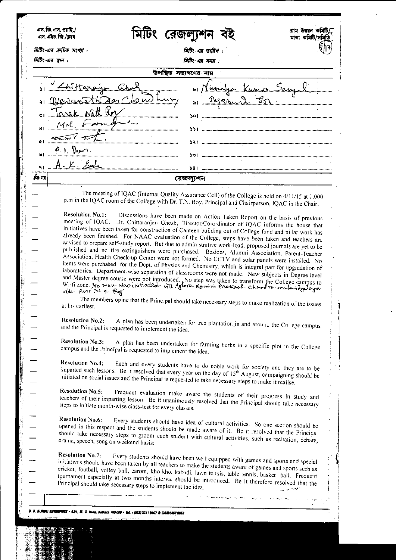|                                        | মিটিং-এর ক্রমিক সংখ্যা :                                                                                                                                                                                                                                                                                                                                                                                                                                                                                                                                                                                                                                                                                                                                                                                                                                                                                                                                                                                                                                                                                                                                                                                                                                                                                                                                                                                                                                                                                                                                                                                                                                                                                                                                                                                                                                                                         | মিটিং-এর তারিখ :                                                                                                                                                                                                                                                                                     |  |  |  |  |  |  |
|----------------------------------------|--------------------------------------------------------------------------------------------------------------------------------------------------------------------------------------------------------------------------------------------------------------------------------------------------------------------------------------------------------------------------------------------------------------------------------------------------------------------------------------------------------------------------------------------------------------------------------------------------------------------------------------------------------------------------------------------------------------------------------------------------------------------------------------------------------------------------------------------------------------------------------------------------------------------------------------------------------------------------------------------------------------------------------------------------------------------------------------------------------------------------------------------------------------------------------------------------------------------------------------------------------------------------------------------------------------------------------------------------------------------------------------------------------------------------------------------------------------------------------------------------------------------------------------------------------------------------------------------------------------------------------------------------------------------------------------------------------------------------------------------------------------------------------------------------------------------------------------------------------------------------------------------------|------------------------------------------------------------------------------------------------------------------------------------------------------------------------------------------------------------------------------------------------------------------------------------------------------|--|--|--|--|--|--|
| মিটিং-এর স্থান :<br>गिहिर-अत्र मसम्र : |                                                                                                                                                                                                                                                                                                                                                                                                                                                                                                                                                                                                                                                                                                                                                                                                                                                                                                                                                                                                                                                                                                                                                                                                                                                                                                                                                                                                                                                                                                                                                                                                                                                                                                                                                                                                                                                                                                  |                                                                                                                                                                                                                                                                                                      |  |  |  |  |  |  |
|                                        |                                                                                                                                                                                                                                                                                                                                                                                                                                                                                                                                                                                                                                                                                                                                                                                                                                                                                                                                                                                                                                                                                                                                                                                                                                                                                                                                                                                                                                                                                                                                                                                                                                                                                                                                                                                                                                                                                                  | উপস্থিত সভ্যগণের নাম                                                                                                                                                                                                                                                                                 |  |  |  |  |  |  |
|                                        | 1) <u>Lhittarain</u>                                                                                                                                                                                                                                                                                                                                                                                                                                                                                                                                                                                                                                                                                                                                                                                                                                                                                                                                                                                                                                                                                                                                                                                                                                                                                                                                                                                                                                                                                                                                                                                                                                                                                                                                                                                                                                                                             | v Nimalya Kumar Sangal                                                                                                                                                                                                                                                                               |  |  |  |  |  |  |
|                                        | $\pi$ th dan<br>hew hu<br>Davan                                                                                                                                                                                                                                                                                                                                                                                                                                                                                                                                                                                                                                                                                                                                                                                                                                                                                                                                                                                                                                                                                                                                                                                                                                                                                                                                                                                                                                                                                                                                                                                                                                                                                                                                                                                                                                                                  | <u>29 rue de Gammunica</u>                                                                                                                                                                                                                                                                           |  |  |  |  |  |  |
|                                        | arak natt ber                                                                                                                                                                                                                                                                                                                                                                                                                                                                                                                                                                                                                                                                                                                                                                                                                                                                                                                                                                                                                                                                                                                                                                                                                                                                                                                                                                                                                                                                                                                                                                                                                                                                                                                                                                                                                                                                                    | ১০।                                                                                                                                                                                                                                                                                                  |  |  |  |  |  |  |
| 81                                     | Mol                                                                                                                                                                                                                                                                                                                                                                                                                                                                                                                                                                                                                                                                                                                                                                                                                                                                                                                                                                                                                                                                                                                                                                                                                                                                                                                                                                                                                                                                                                                                                                                                                                                                                                                                                                                                                                                                                              |                                                                                                                                                                                                                                                                                                      |  |  |  |  |  |  |
|                                        | $\overline{2\pi m}$ $\overline{1}$                                                                                                                                                                                                                                                                                                                                                                                                                                                                                                                                                                                                                                                                                                                                                                                                                                                                                                                                                                                                                                                                                                                                                                                                                                                                                                                                                                                                                                                                                                                                                                                                                                                                                                                                                                                                                                                               |                                                                                                                                                                                                                                                                                                      |  |  |  |  |  |  |
|                                        | $P$ 1. Then.                                                                                                                                                                                                                                                                                                                                                                                                                                                                                                                                                                                                                                                                                                                                                                                                                                                                                                                                                                                                                                                                                                                                                                                                                                                                                                                                                                                                                                                                                                                                                                                                                                                                                                                                                                                                                                                                                     |                                                                                                                                                                                                                                                                                                      |  |  |  |  |  |  |
|                                        | $A - K - S = L$                                                                                                                                                                                                                                                                                                                                                                                                                                                                                                                                                                                                                                                                                                                                                                                                                                                                                                                                                                                                                                                                                                                                                                                                                                                                                                                                                                                                                                                                                                                                                                                                                                                                                                                                                                                                                                                                                  |                                                                                                                                                                                                                                                                                                      |  |  |  |  |  |  |
| ক্ৰম সৰা                               |                                                                                                                                                                                                                                                                                                                                                                                                                                                                                                                                                                                                                                                                                                                                                                                                                                                                                                                                                                                                                                                                                                                                                                                                                                                                                                                                                                                                                                                                                                                                                                                                                                                                                                                                                                                                                                                                                                  |                                                                                                                                                                                                                                                                                                      |  |  |  |  |  |  |
|                                        |                                                                                                                                                                                                                                                                                                                                                                                                                                                                                                                                                                                                                                                                                                                                                                                                                                                                                                                                                                                                                                                                                                                                                                                                                                                                                                                                                                                                                                                                                                                                                                                                                                                                                                                                                                                                                                                                                                  | রেজল্যশন                                                                                                                                                                                                                                                                                             |  |  |  |  |  |  |
|                                        | <b>Resolution No.1:</b><br>Discussions have been made on Action Taken Report on the basis of previous<br>meeting of IQAC. Dr. Chittaranjan Ghosh, Director/Co-ordinator of IQAC informs the house that<br>initiatives have been taken for construction of Canteen building out of College fund and pillar work has<br>already been finished. For NAAC evaluation of the College, steps have been taken and teachers are<br>advised to prepare self-study report. But due to administrative work-load, proposed journals are yet to be<br>published and no fire extinguishers were purchased. Besides, Alumni Association, Parent-Teacher<br>Association, Health Check-up Center were not formed. No CCTV and solar panels were installed. No<br>items were purchased for the Dept. of Physics and Chemistry, which is integral part for upgradation of<br>laboratories. Department-wise separation of classrooms were not made. New subjects in Degree level<br>and Master degree course were not introduced. No step was taken to transform the College campus to<br>Wi-fi zone. No move was initiated with Aghore Ramini Prakark chandra notari deploya<br>vide Resi No. 9. Pag<br>The members opine that the Principal should take necessary steps to make realization of the issues<br>at his earliest.<br><b>Resolution No.2:</b><br>A plan has been undertaken for tree plantation in and around the College campus<br>and the Principal is requested to implement the idea.<br><b>Resolution No.3:</b><br>A plan has been undertaken for farming herbs in a specific plot in the College<br>campus and the Principal is requested to implement the idea.<br><b>Resolution No.4:</b><br>Each and every students have to do noble work for society and they are to be<br>imparted such lessons. Be it resolved that every year on the day of 15 <sup>th</sup> August, campaigning should be |                                                                                                                                                                                                                                                                                                      |  |  |  |  |  |  |
|                                        |                                                                                                                                                                                                                                                                                                                                                                                                                                                                                                                                                                                                                                                                                                                                                                                                                                                                                                                                                                                                                                                                                                                                                                                                                                                                                                                                                                                                                                                                                                                                                                                                                                                                                                                                                                                                                                                                                                  |                                                                                                                                                                                                                                                                                                      |  |  |  |  |  |  |
|                                        | <b>Resolution No.5:</b><br>steps to initiate month-wise class-test for every classes.                                                                                                                                                                                                                                                                                                                                                                                                                                                                                                                                                                                                                                                                                                                                                                                                                                                                                                                                                                                                                                                                                                                                                                                                                                                                                                                                                                                                                                                                                                                                                                                                                                                                                                                                                                                                            | initiated on social issues and the Principal is requested to take necessary steps to make it realise.<br>Frequent evaluation make aware the students of their progress in study and<br>teachers of their imparting lesson. Be it unanimously resolved that the Principal should take necessary       |  |  |  |  |  |  |
|                                        | <b>Resolution No.6:</b><br>drama, speech, song on weekend basis:                                                                                                                                                                                                                                                                                                                                                                                                                                                                                                                                                                                                                                                                                                                                                                                                                                                                                                                                                                                                                                                                                                                                                                                                                                                                                                                                                                                                                                                                                                                                                                                                                                                                                                                                                                                                                                 | Every students should have idea of cultural activities. So one section should be<br>opened in this respect and the students should be made aware of it. Be it resolved that the Principal<br>should take necessary steps to groom each student with cultural activities, such as recitation, debate, |  |  |  |  |  |  |

l,

**1996 Sept. The Second** 

ļ.

 $\ddot{\phantom{a}}$ 

W

**Controller South College of the Charles**